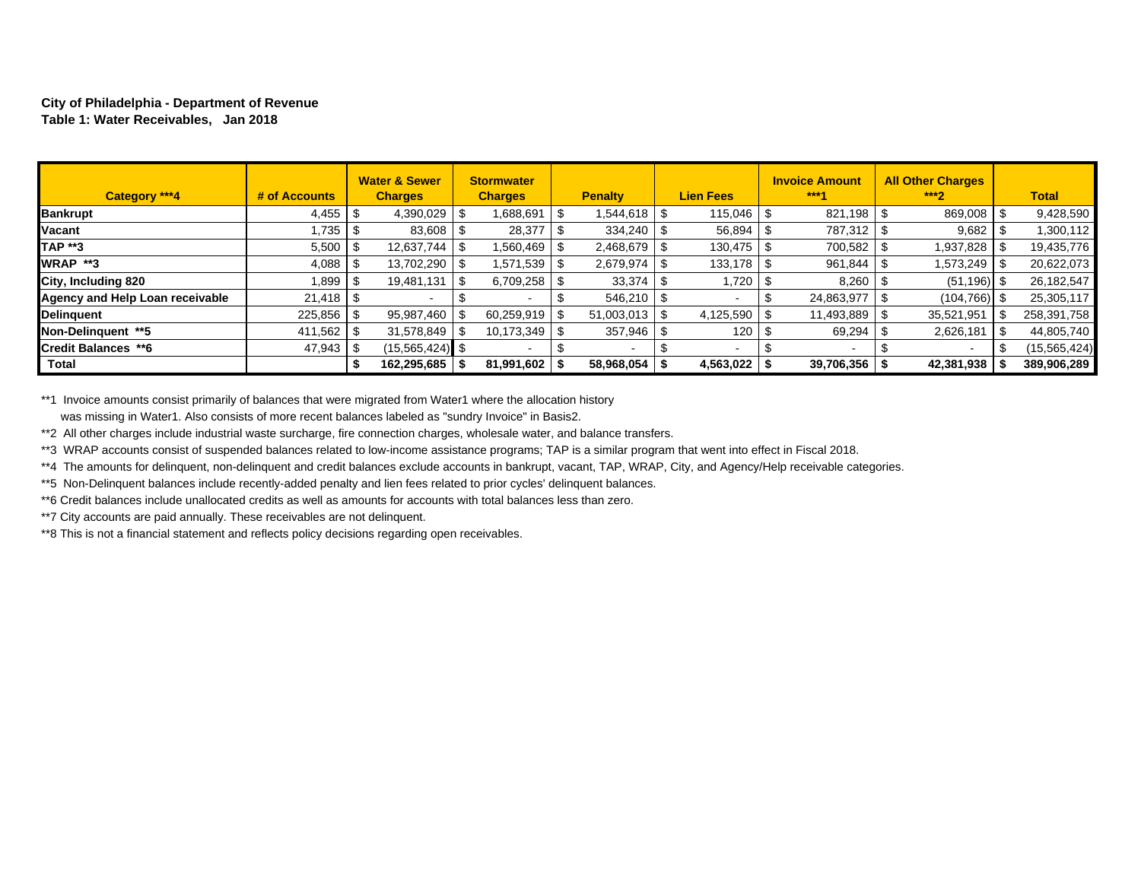#### **City of Philadelphia - Department of Revenue Table 1: Water Receivables, Jan 2018**

| Category ***4                          | # of Accounts  |      | <b>Water &amp; Sewer</b><br><b>Charges</b> | <b>Stormwater</b><br><b>Charges</b> | <b>Penalty</b> |      | <b>Lien Fees</b> | <b>Invoice Amount</b><br>***4 | <b>All Other Charges</b><br>$***2$ | <b>Total</b>   |
|----------------------------------------|----------------|------|--------------------------------------------|-------------------------------------|----------------|------|------------------|-------------------------------|------------------------------------|----------------|
| <b>Bankrupt</b>                        |                |      | 4,390,029                                  | 1,688,691                           | 1,544,618      | - \$ | $115,046$ \ \$   |                               | 869,008                            | 9,428,590      |
| Vacant                                 | .735.          | - \$ | 83,608                                     | 28,377                              | 334,240        |      | 56,894           | 787,312                       | 9,682                              | 1,300,112      |
| <b>TAP **3</b>                         | 5,500          | - \$ | 12,637,744                                 | 560,469.ا                           | 2,468,679      |      |                  | 700,582                       | 1,937,828                          | 19,435,776     |
| <b>WRAP **3</b>                        |                |      | 13,702,290                                 | 1,571,539                           | 2,679,974      |      |                  | 961,844                       | 1,573,249                          | 20,622,073     |
| City, Including 820                    | 1.899 S        |      | 19,481,131                                 | 6,709,258                           | 33,374         | - 35 | 1,720            | 8,260                         | $(51, 196)$ \$                     | 26,182,547     |
| <b>Agency and Help Loan receivable</b> |                |      |                                            |                                     |                |      |                  | 24,863,977                    | (104, 766)                         | 25,305,117     |
| <b>Delinguent</b>                      | $225,856$ \ \$ |      | 95,987,460                                 | 60,259,919                          | 51.003.013     | - \$ | 4,125,590        | 11,493,889 \$                 | 35,521,951                         | 258,391,758    |
| Non-Delinguent **5                     | $411,562$   \$ |      | 31.578.849                                 | 10,173,349                          | 357,946        | - \$ | 120              | 69,294                        | 2,626,181                          | 44,805,740     |
| Credit Balances **6                    | 47,943 \$      |      | $(15, 565, 424)$ \$                        |                                     |                |      | $\,$ $\,$        |                               |                                    | (15, 565, 424) |
| <b>Total</b>                           |                | J.   | 162,295,685                                | 81,991,602                          | 58,968,054     |      | $4,563,022$   \$ | $39,706,356$ \$               | 42,381,938                         | 389,906,289    |

\*\*1 Invoice amounts consist primarily of balances that were migrated from Water1 where the allocation history was missing in Water1. Also consists of more recent balances labeled as "sundry Invoice" in Basis2.

\*\*2 All other charges include industrial waste surcharge, fire connection charges, wholesale water, and balance transfers.

\*\*3 WRAP accounts consist of suspended balances related to low-income assistance programs; TAP is a similar program that went into effect in Fiscal 2018.

\*\*4 The amounts for delinquent, non-delinquent and credit balances exclude accounts in bankrupt, vacant, TAP, WRAP, City, and Agency/Help receivable categories.

\*\*5 Non-Delinquent balances include recently-added penalty and lien fees related to prior cycles' delinquent balances.

\*\*6 Credit balances include unallocated credits as well as amounts for accounts with total balances less than zero.

\*\*7 City accounts are paid annually. These receivables are not delinquent.

\*\*8 This is not a financial statement and reflects policy decisions regarding open receivables.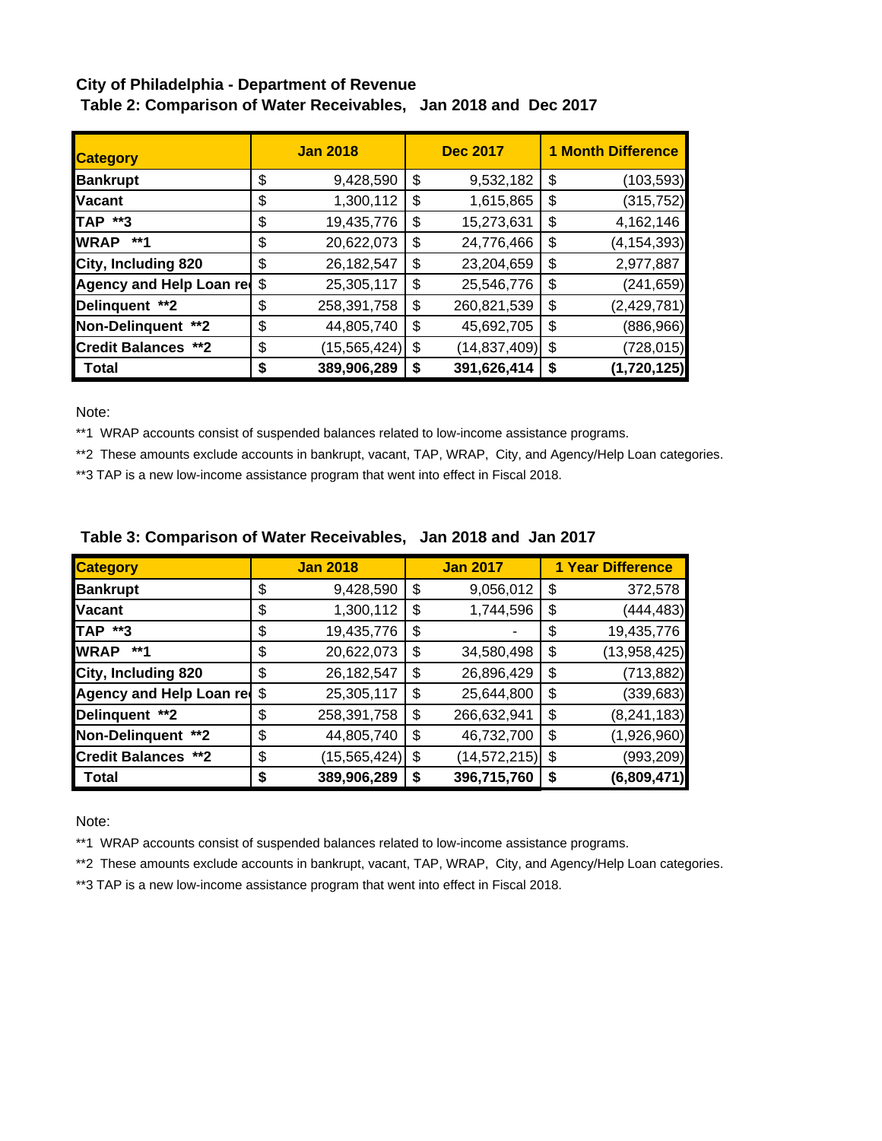# **City of Philadelphia - Department of Revenue**

| <b>Category</b>            | <b>Jan 2018</b> |                |    | <b>Dec 2017</b> | <b>1 Month Difference</b> |               |  |
|----------------------------|-----------------|----------------|----|-----------------|---------------------------|---------------|--|
| <b>Bankrupt</b>            | \$              | 9,428,590      | \$ | 9,532,182       | \$                        | (103, 593)    |  |
| <b>Vacant</b>              | \$              | 1,300,112      | \$ | 1,615,865       | \$                        | (315, 752)    |  |
| TAP **3                    | \$              | 19,435,776     | \$ | 15,273,631      | \$                        | 4,162,146     |  |
| <b>WRAP</b><br>**1         | \$              | 20,622,073     | \$ | 24,776,466      | \$                        | (4, 154, 393) |  |
| City, Including 820        | \$              | 26,182,547     | \$ | 23,204,659      | \$                        | 2,977,887     |  |
| Agency and Help Loan red   | \$              | 25,305,117     | \$ | 25,546,776      | \$                        | (241, 659)    |  |
| Delinquent **2             | \$              | 258,391,758    | \$ | 260,821,539     | \$                        | (2, 429, 781) |  |
| Non-Delinquent **2         | \$              | 44,805,740     | \$ | 45,692,705      | \$                        | (886,966)     |  |
| <b>Credit Balances **2</b> | \$              | (15, 565, 424) | \$ | (14, 837, 409)  | \$                        | (728, 015)    |  |
| Total                      | S               | 389,906,289    | S  | 391,626,414     | \$                        | (1,720,125)   |  |

 **Table 2: Comparison of Water Receivables, Jan 2018 and Dec 2017**

Note:

\*\*1 WRAP accounts consist of suspended balances related to low-income assistance programs.

\*\*2 These amounts exclude accounts in bankrupt, vacant, TAP, WRAP, City, and Agency/Help Loan categories.

\*\*3 TAP is a new low-income assistance program that went into effect in Fiscal 2018.

| <b>Category</b>             |    | <b>Jan 2018</b> | <b>Jan 2017</b>      | <b>1 Year Difference</b> |
|-----------------------------|----|-----------------|----------------------|--------------------------|
| <b>Bankrupt</b>             | \$ | 9,428,590       | \$<br>9,056,012      | \$<br>372,578            |
| <b>Vacant</b>               | \$ | 1,300,112       | \$<br>1,744,596      | \$<br>(444, 483)         |
| <b>TAP **3</b>              | \$ | 19,435,776      | \$                   | \$<br>19,435,776         |
| <b>WRAP</b><br>**1          | \$ | 20,622,073      | \$<br>34,580,498     | \$<br>(13,958,425)       |
| City, Including 820         | \$ | 26,182,547      | \$<br>26,896,429     | \$<br>(713, 882)         |
| Agency and Help Loan red \$ |    | 25,305,117      | \$<br>25,644,800     | \$<br>(339, 683)         |
| Delinquent **2              | \$ | 258,391,758     | \$<br>266,632,941    | \$<br>(8, 241, 183)      |
| Non-Delinquent **2          | \$ | 44,805,740      | \$<br>46,732,700     | \$<br>(1,926,960)        |
| <b>Credit Balances **2</b>  | \$ | (15, 565, 424)  | \$<br>(14, 572, 215) | \$<br>(993, 209)         |
| Total                       | S  | 389,906,289     | \$<br>396,715,760    | \$<br>(6,809,471)        |

## **Table 3: Comparison of Water Receivables, Jan 2018 and Jan 2017**

Note:

\*\*1 WRAP accounts consist of suspended balances related to low-income assistance programs.

\*\*2 These amounts exclude accounts in bankrupt, vacant, TAP, WRAP, City, and Agency/Help Loan categories.

\*\*3 TAP is a new low-income assistance program that went into effect in Fiscal 2018.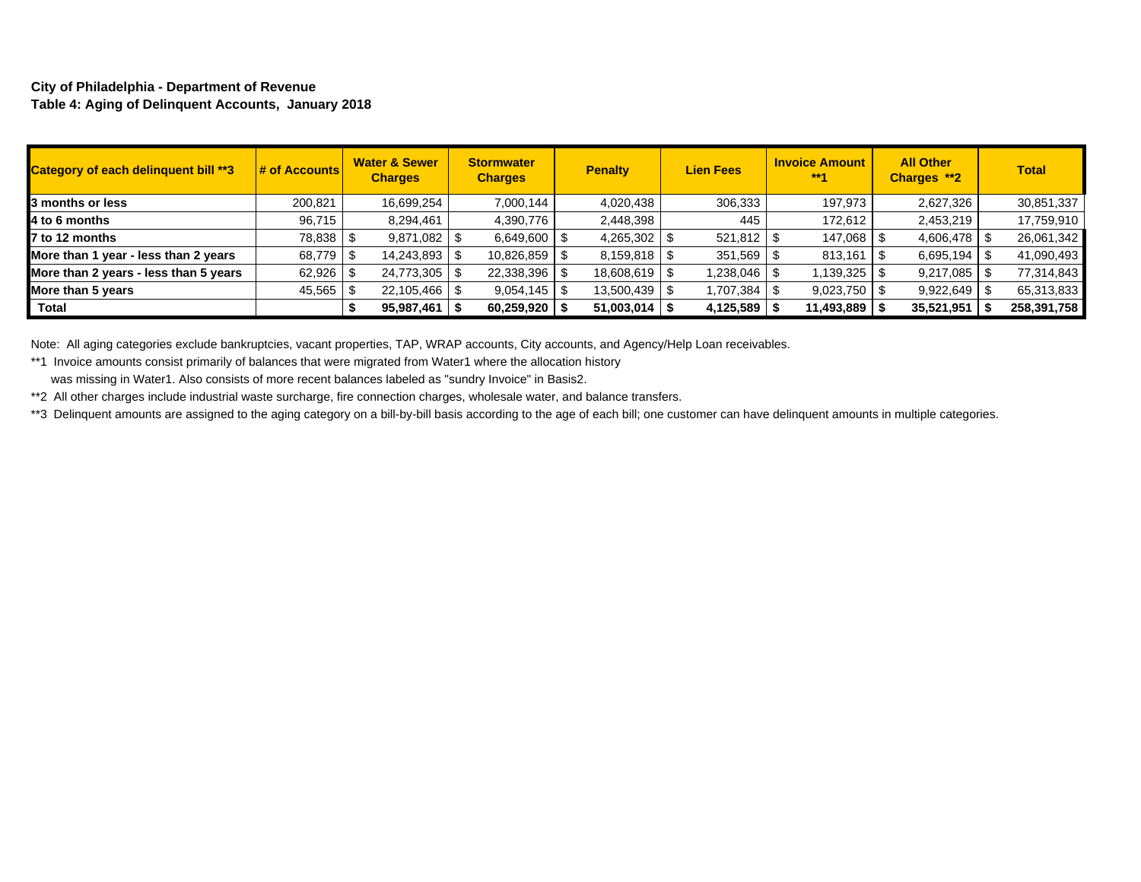### **City of Philadelphia - Department of Revenue Table 4: Aging of Delinquent Accounts, January 2018**

| <b>Category of each delinquent bill **3</b> | # of Accounts | <b>Water &amp; Sewer</b><br><b>Charges</b> | <b>Stormwater</b><br><b>Charges</b> | <b>Penalty</b>  | <b>Lien Fees</b>     | <b>Invoice Amount</b><br>$***1$ | <b>All Other</b><br>Charges **2 | <b>Total</b> |
|---------------------------------------------|---------------|--------------------------------------------|-------------------------------------|-----------------|----------------------|---------------------------------|---------------------------------|--------------|
| 3 months or less                            | 200,821       | 16,699,254                                 | 7,000,144                           | 4,020,438       | 306,333              | 197,973                         | 2,627,326                       | 30,851,337   |
| 4 to 6 months                               | 96,715        | 8,294,461                                  | 4,390,776                           | 2,448,398       | 445                  | 172,612                         | 2,453,219                       | 17,759,910   |
| 7 to 12 months                              | 78,838 \$     | $9,871,082$ \$                             | 6,649,600                           | $4,265,302$ \$  | $521,812$ $\sqrt{3}$ | 147,068 \$                      |                                 | 26,061,342   |
| More than 1 year - less than 2 years        | 68,779 \$     | 14,243,893 \$                              | 10,826,859                          |                 | 351,569              | 813,161                         | 6,695,194                       | 41,090,493   |
| More than 2 years - less than 5 years       | 62,926 \$     | 24,773,305   \$                            | 22,338,396                          | 18,608,619   \$ | 8 80.046 1.238       |                                 | 9,217,085                       | 77,314,843   |
| More than 5 years                           | 45,565        | $22,105,466$ \$                            | 9,054,145                           | 13,500,439   \$ | 1,707,384            | $9,023,750$ \$                  | 9,922,649                       | 65,313,833   |
| Total                                       |               | 95,987,461                                 | 60,259,920                          | 51,003,014      | 4,125,589            | 11,493,889                      | 35,521,951                      | 258,391,758  |

Note: All aging categories exclude bankruptcies, vacant properties, TAP, WRAP accounts, City accounts, and Agency/Help Loan receivables.

\*\*1 Invoice amounts consist primarily of balances that were migrated from Water1 where the allocation history

was missing in Water1. Also consists of more recent balances labeled as "sundry Invoice" in Basis2.

\*\*2 All other charges include industrial waste surcharge, fire connection charges, wholesale water, and balance transfers.

\*\*3 Delinquent amounts are assigned to the aging category on a bill-by-bill basis according to the age of each bill; one customer can have delinquent amounts in multiple categories.